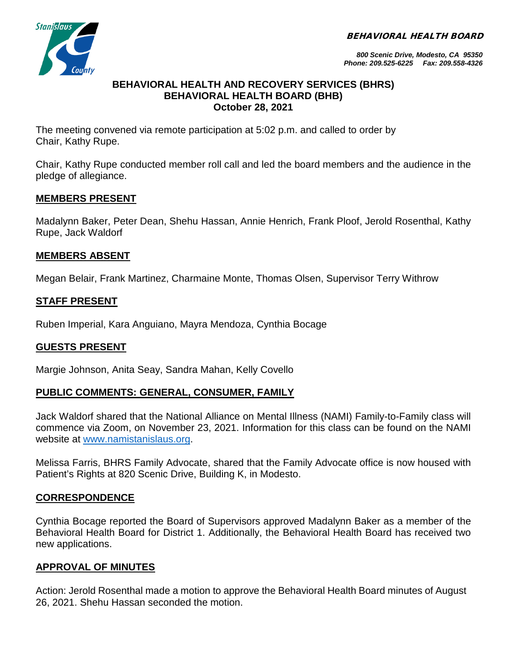BEHAVIORAL HEALTH BOARD



*800 Scenic Drive, Modesto, CA 95350 Phone: 209.525-6225 Fax: 209.558-4326*

#### **BEHAVIORAL HEALTH AND RECOVERY SERVICES (BHRS) BEHAVIORAL HEALTH BOARD (BHB) October 28, 2021**

The meeting convened via remote participation at 5:02 p.m. and called to order by Chair, Kathy Rupe.

Chair, Kathy Rupe conducted member roll call and led the board members and the audience in the pledge of allegiance.

## **MEMBERS PRESENT**

Madalynn Baker, Peter Dean, Shehu Hassan, Annie Henrich, Frank Ploof, Jerold Rosenthal, Kathy Rupe, Jack Waldorf

## **MEMBERS ABSENT**

Megan Belair, Frank Martinez, Charmaine Monte, Thomas Olsen, Supervisor Terry Withrow

## **STAFF PRESENT**

Ruben Imperial, Kara Anguiano, Mayra Mendoza, Cynthia Bocage

# **GUESTS PRESENT**

Margie Johnson, Anita Seay, Sandra Mahan, Kelly Covello

### **PUBLIC COMMENTS: GENERAL, CONSUMER, FAMILY**

Jack Waldorf shared that the National Alliance on Mental Illness (NAMI) Family-to-Family class will commence via Zoom, on November 23, 2021. Information for this class can be found on the NAMI website at [www.namistanislaus.org.](http://www.namistanislaus.org/)

Melissa Farris, BHRS Family Advocate, shared that the Family Advocate office is now housed with Patient's Rights at 820 Scenic Drive, Building K, in Modesto.

# **CORRESPONDENCE**

Cynthia Bocage reported the Board of Supervisors approved Madalynn Baker as a member of the Behavioral Health Board for District 1. Additionally, the Behavioral Health Board has received two new applications.

### **APPROVAL OF MINUTES**

Action: Jerold Rosenthal made a motion to approve the Behavioral Health Board minutes of August 26, 2021. Shehu Hassan seconded the motion.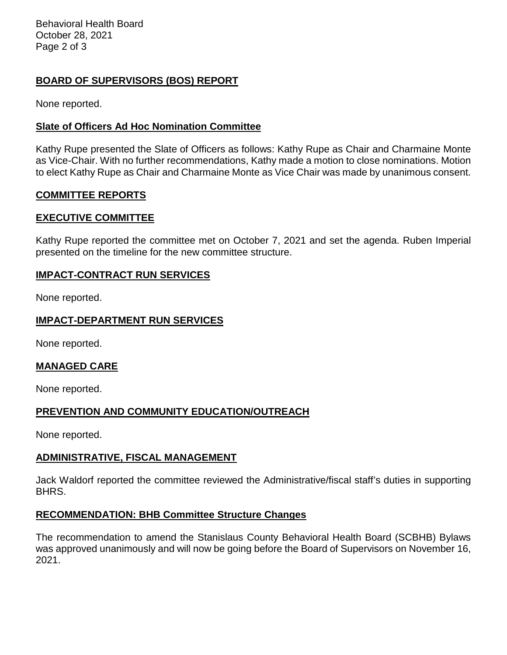Behavioral Health Board October 28, 2021 Page 2 of 3

# **BOARD OF SUPERVISORS (BOS) REPORT**

None reported.

### **Slate of Officers Ad Hoc Nomination Committee**

Kathy Rupe presented the Slate of Officers as follows: Kathy Rupe as Chair and Charmaine Monte as Vice-Chair. With no further recommendations, Kathy made a motion to close nominations. Motion to elect Kathy Rupe as Chair and Charmaine Monte as Vice Chair was made by unanimous consent.

### **COMMITTEE REPORTS**

### **EXECUTIVE COMMITTEE**

Kathy Rupe reported the committee met on October 7, 2021 and set the agenda. Ruben Imperial presented on the timeline for the new committee structure.

### **IMPACT-CONTRACT RUN SERVICES**

None reported.

### **IMPACT-DEPARTMENT RUN SERVICES**

None reported.

#### **MANAGED CARE**

None reported.

### **PREVENTION AND COMMUNITY EDUCATION/OUTREACH**

None reported.

### **ADMINISTRATIVE, FISCAL MANAGEMENT**

Jack Waldorf reported the committee reviewed the Administrative/fiscal staff's duties in supporting BHRS.

### **RECOMMENDATION: BHB Committee Structure Changes**

The recommendation to amend the Stanislaus County Behavioral Health Board (SCBHB) Bylaws was approved unanimously and will now be going before the Board of Supervisors on November 16, 2021.